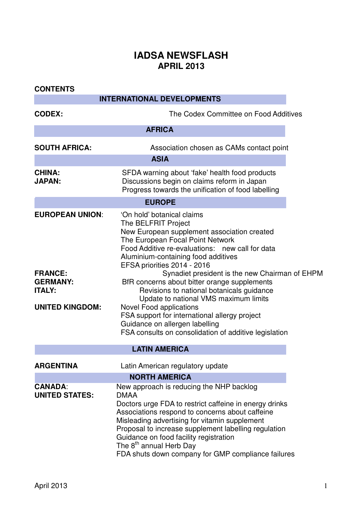## **IADSA NEWSFLASH APRIL 2013**

| <b>CONTENTS</b>                                                              |                                                                                                                                                                                                                                                                                                                                                                                                                      |  |  |  |  |  |
|------------------------------------------------------------------------------|----------------------------------------------------------------------------------------------------------------------------------------------------------------------------------------------------------------------------------------------------------------------------------------------------------------------------------------------------------------------------------------------------------------------|--|--|--|--|--|
| <b>INTERNATIONAL DEVELOPMENTS</b>                                            |                                                                                                                                                                                                                                                                                                                                                                                                                      |  |  |  |  |  |
| <b>CODEX:</b>                                                                | The Codex Committee on Food Additives                                                                                                                                                                                                                                                                                                                                                                                |  |  |  |  |  |
| <b>AFRICA</b>                                                                |                                                                                                                                                                                                                                                                                                                                                                                                                      |  |  |  |  |  |
| <b>SOUTH AFRICA:</b>                                                         | Association chosen as CAMs contact point                                                                                                                                                                                                                                                                                                                                                                             |  |  |  |  |  |
|                                                                              | <b>ASIA</b>                                                                                                                                                                                                                                                                                                                                                                                                          |  |  |  |  |  |
| <b>CHINA:</b><br><b>JAPAN:</b>                                               | SFDA warning about 'fake' health food products<br>Discussions begin on claims reform in Japan<br>Progress towards the unification of food labelling                                                                                                                                                                                                                                                                  |  |  |  |  |  |
|                                                                              | <b>EUROPE</b>                                                                                                                                                                                                                                                                                                                                                                                                        |  |  |  |  |  |
| <b>EUROPEAN UNION:</b>                                                       | 'On hold' botanical claims<br>The BELFRIT Project<br>New European supplement association created<br>The European Focal Point Network<br>Food Additive re-evaluations: new call for data<br>Aluminium-containing food additives<br>EFSA priorities 2014 - 2016                                                                                                                                                        |  |  |  |  |  |
| <b>FRANCE:</b><br><b>GERMANY:</b><br><b>ITALY:</b><br><b>UNITED KINGDOM:</b> | Synadiet president is the new Chairman of EHPM<br>BfR concerns about bitter orange supplements<br>Revisions to national botanicals guidance<br>Update to national VMS maximum limits<br>Novel Food applications<br>FSA support for international allergy project<br>Guidance on allergen labelling<br>FSA consults on consolidation of additive legislation                                                          |  |  |  |  |  |
|                                                                              | <b>LATIN AMERICA</b>                                                                                                                                                                                                                                                                                                                                                                                                 |  |  |  |  |  |
| <b>ARGENTINA</b>                                                             | Latin American regulatory update                                                                                                                                                                                                                                                                                                                                                                                     |  |  |  |  |  |
|                                                                              | <b>NORTH AMERICA</b>                                                                                                                                                                                                                                                                                                                                                                                                 |  |  |  |  |  |
| <b>CANADA:</b><br><b>UNITED STATES:</b>                                      | New approach is reducing the NHP backlog<br><b>DMAA</b><br>Doctors urge FDA to restrict caffeine in energy drinks<br>Associations respond to concerns about caffeine<br>Misleading advertising for vitamin supplement<br>Proposal to increase supplement labelling regulation<br>Guidance on food facility registration<br>The 8 <sup>th</sup> annual Herb Day<br>FDA shuts down company for GMP compliance failures |  |  |  |  |  |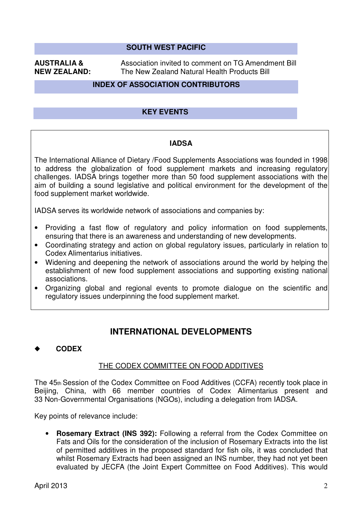# **SOUTH WEST PACIFIC**

**AUSTRALIA &** Association invited to comment on TG Amendment Bill **NEW ZEALAND:** The New Zealand Natural Health Products Bill

#### **INDEX OF ASSOCIATION CONTRIBUTORS**

#### **KEY EVENTS**

#### **IADSA**

The International Alliance of Dietary /Food Supplements Associations was founded in 1998 to address the globalization of food supplement markets and increasing regulatory challenges. IADSA brings together more than 50 food supplement associations with the aim of building a sound legislative and political environment for the development of the food supplement market worldwide.

IADSA serves its worldwide network of associations and companies by:

- Providing a fast flow of regulatory and policy information on food supplements, ensuring that there is an awareness and understanding of new developments.
- Coordinating strategy and action on global regulatory issues, particularly in relation to Codex Alimentarius initiatives.
- Widening and deepening the network of associations around the world by helping the establishment of new food supplement associations and supporting existing national associations.
- Organizing global and regional events to promote dialogue on the scientific and regulatory issues underpinning the food supplement market.

### **INTERNATIONAL DEVELOPMENTS**

#### ◆ **CODEX**

#### THE CODEX COMMITTEE ON FOOD ADDITIVES

The 45th Session of the Codex Committee on Food Additives (CCFA) recently took place in Beijing, China, with 66 member countries of Codex Alimentarius present and 33 Non-Governmental Organisations (NGOs), including a delegation from IADSA.

Key points of relevance include:

• **Rosemary Extract (INS 392):** Following a referral from the Codex Committee on Fats and Oils for the consideration of the inclusion of Rosemary Extracts into the list of permitted additives in the proposed standard for fish oils, it was concluded that whilst Rosemary Extracts had been assigned an INS number, they had not yet been evaluated by JECFA (the Joint Expert Committee on Food Additives). This would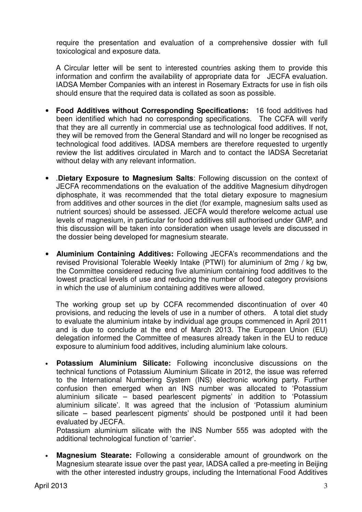require the presentation and evaluation of a comprehensive dossier with full toxicological and exposure data.

A Circular letter will be sent to interested countries asking them to provide this information and confirm the availability of appropriate data for JECFA evaluation. IADSA Member Companies with an interest in Rosemary Extracts for use in fish oils should ensure that the required data is collated as soon as possible.

- **Food Additives without Corresponding Specifications:** 16 food additives had been identified which had no corresponding specifications. The CCFA will verify that they are all currently in commercial use as technological food additives. If not, they will be removed from the General Standard and will no longer be recognised as technological food additives. IADSA members are therefore requested to urgently review the list additives circulated in March and to contact the IADSA Secretariat without delay with any relevant information.
- .**Dietary Exposure to Magnesium Salts**: Following discussion on the context of JECFA recommendations on the evaluation of the additive Magnesium dihydrogen diphosphate, it was recommended that the total dietary exposure to magnesium from additives and other sources in the diet (for example, magnesium salts used as nutrient sources) should be assessed. JECFA would therefore welcome actual use levels of magnesium, in particular for food additives still authorised under GMP, and this discussion will be taken into consideration when usage levels are discussed in the dossier being developed for magnesium stearate.
- **Aluminium Containing Additives:** Following JECFA's recommendations and the revised Provisional Tolerable Weekly Intake (PTWI) for aluminium of 2mg / kg bw, the Committee considered reducing five aluminium containing food additives to the lowest practical levels of use and reducing the number of food category provisions in which the use of aluminium containing additives were allowed.

The working group set up by CCFA recommended discontinuation of over 40 provisions, and reducing the levels of use in a number of others. A total diet study to evaluate the aluminium intake by individual age groups commenced in April 2011 and is due to conclude at the end of March 2013. The European Union (EU) delegation informed the Committee of measures already taken in the EU to reduce exposure to aluminium food additives, including aluminium lake colours.

• **Potassium Aluminium Silicate:** Following inconclusive discussions on the technical functions of Potassium Aluminium Silicate in 2012, the issue was referred to the International Numbering System (INS) electronic working party. Further confusion then emerged when an INS number was allocated to ʻPotassium aluminium silicate – based pearlescent pigments' in addition to ʻPotassium aluminium silicate'. It was agreed that the inclusion of ʻPotassium aluminium silicate – based pearlescent pigments' should be postponed until it had been evaluated by JECFA.

Potassium aluminium silicate with the INS Number 555 was adopted with the additional technological function of ʻcarrier'.

• **Magnesium Stearate:** Following a considerable amount of groundwork on the Magnesium stearate issue over the past year, IADSA called a pre-meeting in Beijing with the other interested industry groups, including the International Food Additives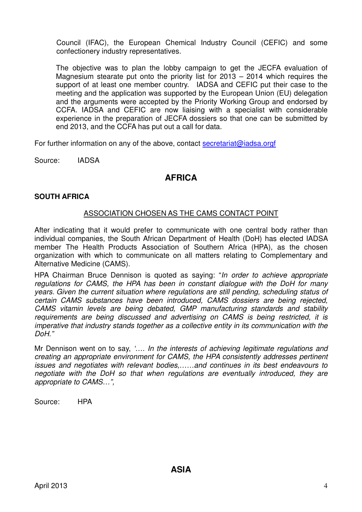Council (IFAC), the European Chemical Industry Council (CEFIC) and some confectionery industry representatives.

The objective was to plan the lobby campaign to get the JECFA evaluation of Magnesium stearate put onto the priority list for 2013 – 2014 which requires the support of at least one member country. IADSA and CEFIC put their case to the meeting and the application was supported by the European Union (EU) delegation and the arguments were accepted by the Priority Working Group and endorsed by CCFA. IADSA and CEFIC are now liaising with a specialist with considerable experience in the preparation of JECFA dossiers so that one can be submitted by end 2013, and the CCFA has put out a call for data.

For further information on any of the above, contact secretariat@iadsa.orgf

Source: IADSA

### **AFRICA**

#### **SOUTH AFRICA**

#### ASSOCIATION CHOSEN AS THE CAMS CONTACT POINT

After indicating that it would prefer to communicate with one central body rather than individual companies, the South African Department of Health (DoH) has elected IADSA member The Health Products Association of Southern Africa (HPA), as the chosen organization with which to communicate on all matters relating to Complementary and Alternative Medicine (CAMS).

HPA Chairman Bruce Dennison is quoted as saying: "*In order to achieve appropriate regulations for CAMS, the HPA has been in constant dialogue with the DoH for many years. Given the current situation where regulations are still pending, scheduling status of certain CAMS substances have been introduced, CAMS dossiers are being rejected, CAMS vitamin levels are being debated, GMP manufacturing standards and stability requirements are being discussed and advertising on CAMS is being restricted, it is imperative that industry stands together as a collective entity in its communication with the DoH."* 

Mr Dennison went on to say, *'…. In the interests of achieving legitimate regulations and creating an appropriate environment for CAMS, the HPA consistently addresses pertinent issues and negotiates with relevant bodies,……and continues in its best endeavours to negotiate with the DoH so that when regulations are eventually introduced, they are appropriate to CAMS…",* 

Source: HPA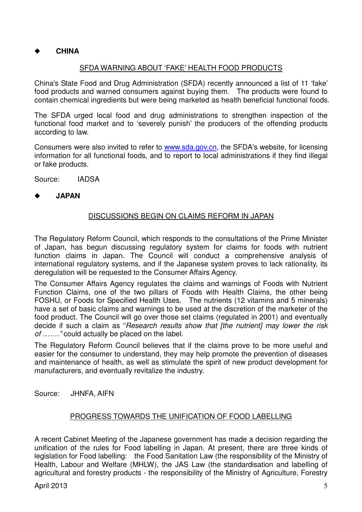### ◆ **CHINA**

#### SFDA WARNING ABOUT 'FAKE' HEALTH FOOD PRODUCTS

China's State Food and Drug Administration (SFDA) recently announced a list of 11 'fake' food products and warned consumers against buying them. The products were found to contain chemical ingredients but were being marketed as health beneficial functional foods.

The SFDA urged local food and drug administrations to strengthen inspection of the functional food market and to 'severely punish' the producers of the offending products according to law.

Consumers were also invited to refer to **www.sda.gov.cn**, the SFDA's website, for licensing information for all functional foods, and to report to local administrations if they find illegal or fake products.

Source: IADSA

#### ◆ **JAPAN**

### DISCUSSIONS BEGIN ON CLAIMS REFORM IN JAPAN

The Regulatory Reform Council, which responds to the consultations of the Prime Minister of Japan, has begun discussing regulatory system for claims for foods with nutrient function claims in Japan. The Council will conduct a comprehensive analysis of international regulatory systems, and if the Japanese system proves to lack rationality, its deregulation will be requested to the Consumer Affairs Agency.

The Consumer Affairs Agency regulates the claims and warnings of Foods with Nutrient Function Claims, one of the two pillars of Foods with Health Claims, the other being FOSHU, or Foods for Specified Health Uses. The nutrients (12 vitamins and 5 minerals) have a set of basic claims and warnings to be used at the discretion of the marketer of the food product. The Council will go over those set claims (regulated in 2001) and eventually decide if such a claim as "*Research results show that [the nutrient] may lower the risk of ……."* could actually be placed on the label.

The Regulatory Reform Council believes that if the claims prove to be more useful and easier for the consumer to understand, they may help promote the prevention of diseases and maintenance of health, as well as stimulate the spirit of new product development for manufacturers, and eventually revitalize the industry.

Source: JHNFA, AIFN

#### PROGRESS TOWARDS THE UNIFICATION OF FOOD LABELLING

A recent Cabinet Meeting of the Japanese government has made a decision regarding the unification of the rules for Food labelling in Japan. At present, there are three kinds of legislation for Food labelling: the Food Sanitation Law (the responsibility of the Ministry of Health, Labour and Welfare (MHLW), the JAS Law (the standardisation and labelling of agricultural and forestry products - the responsibility of the Ministry of Agriculture, Forestry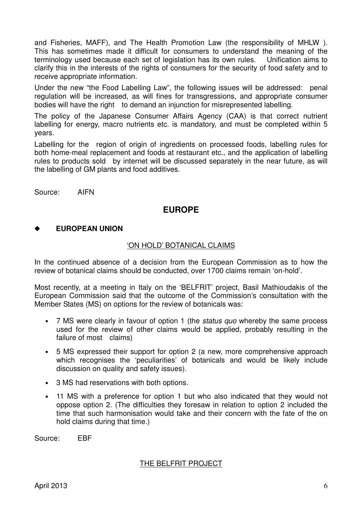and Fisheries, MAFF), and The Health Promotion Law (the responsibility of MHLW ). This has sometimes made it difficult for consumers to understand the meaning of the terminology used because each set of legislation has its own rules. Unification aims to clarify this in the interests of the rights of consumers for the security of food safety and to receive appropriate information.

Under the new "the Food Labelling Law", the following issues will be addressed: penal regulation will be increased, as will fines for transgressions, and appropriate consumer bodies will have the right to demand an injunction for misrepresented labelling.

The policy of the Japanese Consumer Affairs Agency (CAA) is that correct nutrient labelling for energy, macro nutrients etc. is mandatory, and must be completed within 5 years.

Labelling for the region of origin of ingredients on processed foods, labelling rules for both home-meal replacement and foods at restaurant etc., and the application of labelling rules to products sold by internet will be discussed separately in the near future, as will the labelling of GM plants and food additives.

Source: AIFN

### **EUROPE**

#### **EUROPEAN UNION**

#### 'ON HOLD' BOTANICAL CLAIMS

In the continued absence of a decision from the European Commission as to how the review of botanical claims should be conducted, over 1700 claims remain 'on-hold'.

Most recently, at a meeting in Italy on the 'BELFRIT' project, Basil Mathioudakis of the European Commission said that the outcome of the Commission's consultation with the Member States (MS) on options for the review of botanicals was:

- 7 MS were clearly in favour of option 1 (the *status quo* whereby the same process used for the review of other claims would be applied, probably resulting in the failure of most claims)
- 5 MS expressed their support for option 2 (a new, more comprehensive approach which recognises the 'peculiarities' of botanicals and would be likely include discussion on quality and safety issues).
- 3 MS had reservations with both options.
- 11 MS with a preference for option 1 but who also indicated that they would not oppose option 2. (The difficulties they foresaw in relation to option 2 included the time that such harmonisation would take and their concern with the fate of the on hold claims during that time.)

Source: EBF

#### THE BELFRIT PROJECT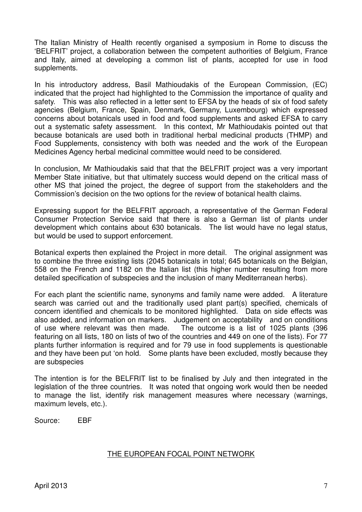The Italian Ministry of Health recently organised a symposium in Rome to discuss the 'BELFRIT' project, a collaboration between the competent authorities of Belgium, France and Italy, aimed at developing a common list of plants, accepted for use in food supplements.

In his introductory address, Basil Mathioudakis of the European Commission, (EC) indicated that the project had highlighted to the Commission the importance of quality and safety. This was also reflected in a letter sent to EFSA by the heads of six of food safety agencies (Belgium, France, Spain, Denmark, Germany, Luxembourg) which expressed concerns about botanicals used in food and food supplements and asked EFSA to carry out a systematic safety assessment. In this context, Mr Mathioudakis pointed out that because botanicals are used both in traditional herbal medicinal products (THMP) and Food Supplements, consistency with both was needed and the work of the European Medicines Agency herbal medicinal committee would need to be considered.

In conclusion, Mr Mathioudakis said that that the BELFRIT project was a very important Member State initiative, but that ultimately success would depend on the critical mass of other MS that joined the project, the degree of support from the stakeholders and the Commission's decision on the two options for the review of botanical health claims.

Expressing support for the BELFRIT approach, a representative of the German Federal Consumer Protection Service said that there is also a German list of plants under development which contains about 630 botanicals. The list would have no legal status, but would be used to support enforcement.

Botanical experts then explained the Project in more detail. The original assignment was to combine the three existing lists (2045 botanicals in total; 645 botanicals on the Belgian, 558 on the French and 1182 on the Italian list (this higher number resulting from more detailed specification of subspecies and the inclusion of many Mediterranean herbs).

For each plant the scientific name, synonyms and family name were added. A literature search was carried out and the traditionally used plant part(s) specified, chemicals of concern identified and chemicals to be monitored highlighted. Data on side effects was also added, and information on markers. Judgement on acceptability and on conditions of use where relevant was then made. The outcome is a list of 1025 plants (396 featuring on all lists, 180 on lists of two of the countries and 449 on one of the lists). For 77 plants further information is required and for 79 use in food supplements is questionable and they have been put 'on hold. Some plants have been excluded, mostly because they are subspecies

The intention is for the BELFRIT list to be finalised by July and then integrated in the legislation of the three countries. It was noted that ongoing work would then be needed to manage the list, identify risk management measures where necessary (warnings, maximum levels, etc.).

Source: EBF

#### THE EUROPEAN FOCAL POINT NETWORK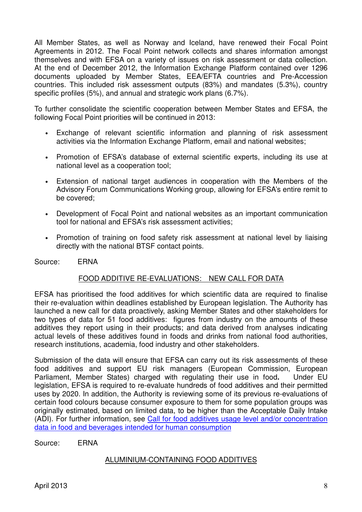All Member States, as well as Norway and Iceland, have renewed their Focal Point Agreements in 2012. The Focal Point network collects and shares information amongst themselves and with EFSA on a variety of issues on risk assessment or data collection. At the end of December 2012, the Information Exchange Platform contained over 1296 documents uploaded by Member States, EEA/EFTA countries and Pre-Accession countries. This included risk assessment outputs (83%) and mandates (5.3%), country specific profiles (5%), and annual and strategic work plans (6.7%).

To further consolidate the scientific cooperation between Member States and EFSA, the following Focal Point priorities will be continued in 2013:

- Exchange of relevant scientific information and planning of risk assessment activities via the Information Exchange Platform, email and national websites;
- Promotion of EFSA's database of external scientific experts, including its use at national level as a cooperation tool;
- Extension of national target audiences in cooperation with the Members of the Advisory Forum Communications Working group, allowing for EFSA's entire remit to be covered;
- Development of Focal Point and national websites as an important communication tool for national and EFSA's risk assessment activities;
- Promotion of training on food safety risk assessment at national level by liaising directly with the national BTSF contact points.

#### Source: ERNA

#### FOOD ADDITIVE RE-EVALUATIONS: NEW CALL FOR DATA

EFSA has prioritised the food additives for which scientific data are required to finalise their re-evaluation within deadlines established by European legislation. The Authority has launched a new call for data proactively, asking Member States and other stakeholders for two types of data for 51 food additives: figures from industry on the amounts of these additives they report using in their products; and data derived from analyses indicating actual levels of these additives found in foods and drinks from national food authorities, research institutions, academia, food industry and other stakeholders.

Submission of the data will ensure that EFSA can carry out its risk assessments of these food additives and support EU risk managers (European Commission, European Parliament, Member States) charged with regulating their use in food**.** Under EU legislation, EFSA is required to re-evaluate hundreds of food additives and their permitted uses by 2020. In addition, the Authority is reviewing some of its previous re-evaluations of certain food colours because consumer exposure to them for some population groups was originally estimated, based on limited data, to be higher than the Acceptable Daily Intake (ADI). For further information, see Call for food additives usage level and/or concentration data in food and beverages intended for human consumption

Source: ERNA

#### ALUMINIUM-CONTAINING FOOD ADDITIVES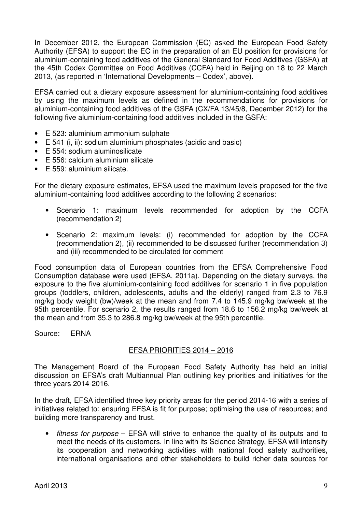In December 2012, the European Commission (EC) asked the European Food Safety Authority (EFSA) to support the EC in the preparation of an EU position for provisions for aluminium-containing food additives of the General Standard for Food Additives (GSFA) at the 45th Codex Committee on Food Additives (CCFA) held in Beijing on 18 to 22 March 2013, (as reported in 'International Developments – Codex', above).

EFSA carried out a dietary exposure assessment for aluminium-containing food additives by using the maximum levels as defined in the recommendations for provisions for aluminium-containing food additives of the GSFA (CX/FA 13/45/8, December 2012) for the following five aluminium-containing food additives included in the GSFA:

- E 523: aluminium ammonium sulphate
- E 541 (i, ii): sodium aluminium phosphates (acidic and basic)
- E 554: sodium aluminosilicate
- E 556: calcium aluminium silicate
- E 559: aluminium silicate.

For the dietary exposure estimates, EFSA used the maximum levels proposed for the five aluminium-containing food additives according to the following 2 scenarios:

- Scenario 1: maximum levels recommended for adoption by the CCFA (recommendation 2)
- Scenario 2: maximum levels: (i) recommended for adoption by the CCFA (recommendation 2), (ii) recommended to be discussed further (recommendation 3) and (iii) recommended to be circulated for comment

Food consumption data of European countries from the EFSA Comprehensive Food Consumption database were used (EFSA, 2011a). Depending on the dietary surveys, the exposure to the five aluminium-containing food additives for scenario 1 in five population groups (toddlers, children, adolescents, adults and the elderly) ranged from 2.3 to 76.9 mg/kg body weight (bw)/week at the mean and from 7.4 to 145.9 mg/kg bw/week at the 95th percentile. For scenario 2, the results ranged from 18.6 to 156.2 mg/kg bw/week at the mean and from 35.3 to 286.8 mg/kg bw/week at the 95th percentile.

Source: ERNA

#### EFSA PRIORITIES 2014 – 2016

The Management Board of the European Food Safety Authority has held an initial discussion on EFSA's draft Multiannual Plan outlining key priorities and initiatives for the three years 2014-2016.

In the draft, EFSA identified three key priority areas for the period 2014-16 with a series of initiatives related to: ensuring EFSA is fit for purpose; optimising the use of resources; and building more transparency and trust.

• *fitness for purpose* – EFSA will strive to enhance the quality of its outputs and to meet the needs of its customers. In line with its Science Strategy, EFSA will intensify its cooperation and networking activities with national food safety authorities, international organisations and other stakeholders to build richer data sources for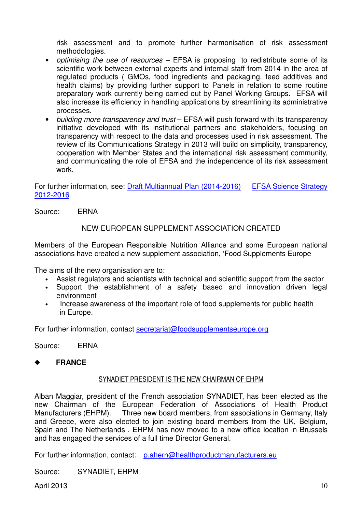risk assessment and to promote further harmonisation of risk assessment methodologies.

- *optimising the use of resources* EFSA is proposing to redistribute some of its scientific work between external experts and internal staff from 2014 in the area of regulated products ( GMOs, food ingredients and packaging, feed additives and health claims) by providing further support to Panels in relation to some routine preparatory work currently being carried out by Panel Working Groups. EFSA will also increase its efficiency in handling applications by streamlining its administrative processes.
- *building more transparency and trust* EFSA will push forward with its transparency initiative developed with its institutional partners and stakeholders, focusing on transparency with respect to the data and processes used in risk assessment. The review of its Communications Strategy in 2013 will build on simplicity, transparency, cooperation with Member States and the international risk assessment community, and communicating the role of EFSA and the independence of its risk assessment work.

For further information, see: Draft Multiannual Plan (2014-2016) EFSA Science Strategy 2012-2016

Source: ERNA

#### NEW EUROPEAN SUPPLEMENT ASSOCIATION CREATED

Members of the European Responsible Nutrition Alliance and some European national associations have created a new supplement association, 'Food Supplements Europe

The aims of the new organisation are to:

- Assist regulators and scientists with technical and scientific support from the sector
- Support the establishment of a safety based and innovation driven legal environment
- Increase awareness of the important role of food supplements for public health in Europe.

For further information, contact secretariat@foodsupplementseurope.org

Source: ERNA

### ◆ **FRANCE**

#### SYNADIET PRESIDENT IS THE NEW CHAIRMAN OF EHPM

Alban Maggiar, president of the French association SYNADIET, has been elected as the new Chairman of the European Federation of Associations of Health Product Manufacturers (EHPM). Three new board members, from associations in Germany, Italy and Greece, were also elected to join existing board members from the UK, Belgium, Spain and The Netherlands . EHPM has now moved to a new office location in Brussels and has engaged the services of a full time Director General.

For further information, contact: p.ahern@healthproductmanufacturers.eu

Source: SYNADIET, EHPM

April 2013  $10$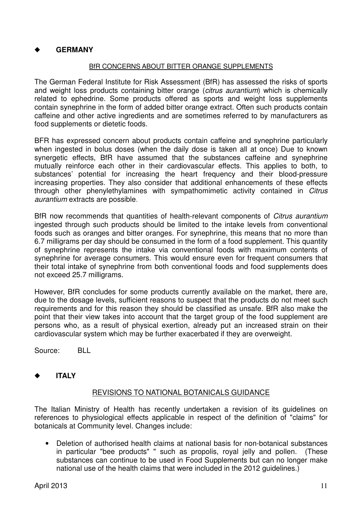### ◆ **GERMANY**

#### BfR CONCERNS ABOUT BITTER ORANGE SUPPLEMENTS

The German Federal Institute for Risk Assessment (BfR) has assessed the risks of sports and weight loss products containing bitter orange (*citrus aurantium*) which is chemically related to ephedrine. Some products offered as sports and weight loss supplements contain synephrine in the form of added bitter orange extract. Often such products contain caffeine and other active ingredients and are sometimes referred to by manufacturers as food supplements or dietetic foods.

BFR has expressed concern about products contain caffeine and synephrine particularly when ingested in bolus doses (when the daily dose is taken all at once) Due to known synergetic effects, BfR have assumed that the substances caffeine and synephrine mutually reinforce each other in their cardiovascular effects. This applies to both, to substances' potential for increasing the heart frequency and their blood-pressure increasing properties. They also consider that additional enhancements of these effects through other phenylethylamines with sympathomimetic activity contained in *Citrus aurantium* extracts are possible.

BfR now recommends that quantities of health-relevant components of *Citrus aurantium*  ingested through such products should be limited to the intake levels from conventional foods such as oranges and bitter oranges. For synephrine, this means that no more than 6.7 milligrams per day should be consumed in the form of a food supplement. This quantity of synephrine represents the intake via conventional foods with maximum contents of synephrine for average consumers. This would ensure even for frequent consumers that their total intake of synephrine from both conventional foods and food supplements does not exceed 25.7 milligrams.

However, BfR concludes for some products currently available on the market, there are, due to the dosage levels, sufficient reasons to suspect that the products do not meet such requirements and for this reason they should be classified as unsafe. BfR also make the point that their view takes into account that the target group of the food supplement are persons who, as a result of physical exertion, already put an increased strain on their cardiovascular system which may be further exacerbated if they are overweight.

Source: BLL

#### ◆ **ITALY**

#### REVISIONS TO NATIONAL BOTANICALS GUIDANCE

The Italian Ministry of Health has recently undertaken a revision of its guidelines on references to physiological effects applicable in respect of the definition of "claims" for botanicals at Community level. Changes include:

• Deletion of authorised health claims at national basis for non-botanical substances in particular "bee products" " such as propolis, royal jelly and pollen. (These substances can continue to be used in Food Supplements but can no longer make national use of the health claims that were included in the 2012 guidelines.)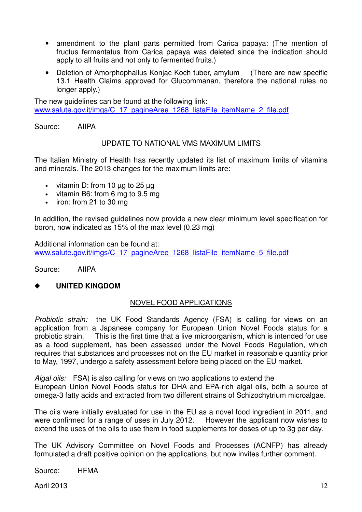- amendment to the plant parts permitted from Carica papaya: (The mention of fructus fermentatus from Carica papaya was deleted since the indication should apply to all fruits and not only to fermented fruits.)
- Deletion of Amorphophallus Konjac Koch tuber, amylum (There are new specific 13.1 Health Claims approved for Glucommanan, therefore the national rules no longer apply.)

The new guidelines can be found at the following link: www.salute.gov.it/imgs/C\_17\_pagineAree\_1268\_listaFile\_itemName\_2\_file.pdf

Source: AIIPA

#### UPDATE TO NATIONAL VMS MAXIMUM LIMITS

The Italian Ministry of Health has recently updated its list of maximum limits of vitamins and minerals. The 2013 changes for the maximum limits are:

- vitamin D: from 10  $\mu$ q to 25  $\mu$ q
- vitamin B6: from 6 mg to 9.5 mg
- iron: from 21 to 30 mg

In addition, the revised guidelines now provide a new clear minimum level specification for boron, now indicated as 15% of the max level (0.23 mg)

Additional information can be found at: www.salute.gov.it/imgs/C\_17\_pagineAree\_1268\_listaFile\_itemName\_5\_file.pdf

Source: AIIPA

#### ◆ **UNITED KINGDOM**

#### NOVEL FOOD APPLICATIONS

*Probiotic strain:* the UK Food Standards Agency (FSA) is calling for views on an application from a Japanese company for European Union Novel Foods status for a probiotic strain. This is the first time that a live microorganism, which is intended for use as a food supplement, has been assessed under the Novel Foods Regulation, which requires that substances and processes not on the EU market in reasonable quantity prior to May, 1997, undergo a safety assessment before being placed on the EU market.

*Algal oils:* FSA) is also calling for views on two applications to extend the European Union Novel Foods status for DHA and EPA-rich algal oils, both a source of omega-3 fatty acids and extracted from two different strains of Schizochytrium microalgae.

The oils were initially evaluated for use in the EU as a novel food ingredient in 2011, and were confirmed for a range of uses in July 2012. However the applicant now wishes to extend the uses of the oils to use them in food supplements for doses of up to 3g per day.

The UK Advisory Committee on Novel Foods and Processes (ACNFP) has already formulated a draft positive opinion on the applications, but now invites further comment.

Source: HFMA

April 2013 **12**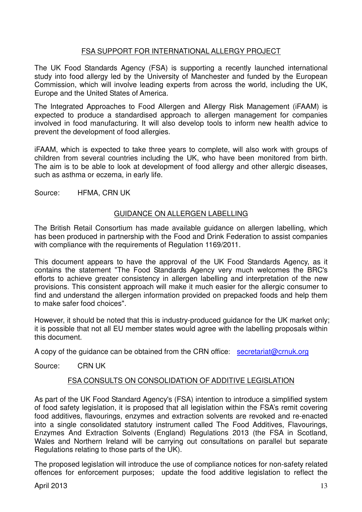#### FSA SUPPORT FOR INTERNATIONAL ALLERGY PROJECT

The UK Food Standards Agency (FSA) is supporting a recently launched international study into food allergy led by the University of Manchester and funded by the European Commission, which will involve leading experts from across the world, including the UK, Europe and the United States of America.

The Integrated Approaches to Food Allergen and Allergy Risk Management (iFAAM) is expected to produce a standardised approach to allergen management for companies involved in food manufacturing. It will also develop tools to inform new health advice to prevent the development of food allergies.

iFAAM, which is expected to take three years to complete, will also work with groups of children from several countries including the UK, who have been monitored from birth. The aim is to be able to look at development of food allergy and other allergic diseases, such as asthma or eczema, in early life.

Source: HFMA, CRN UK

#### GUIDANCE ON ALLERGEN LABELLING

The British Retail Consortium has made available guidance on allergen labelling, which has been produced in partnership with the Food and Drink Federation to assist companies with compliance with the requirements of Regulation 1169/2011.

This document appears to have the approval of the UK Food Standards Agency, as it contains the statement "The Food Standards Agency very much welcomes the BRC's efforts to achieve greater consistency in allergen labelling and interpretation of the new provisions. This consistent approach will make it much easier for the allergic consumer to find and understand the allergen information provided on prepacked foods and help them to make safer food choices".

However, it should be noted that this is industry-produced guidance for the UK market only; it is possible that not all EU member states would agree with the labelling proposals within this document.

A copy of the guidance can be obtained from the CRN office: secretariat@crnuk.org

Source: CRN UK

#### FSA CONSULTS ON CONSOLIDATION OF ADDITIVE LEGISLATION

As part of the UK Food Standard Agency's (FSA) intention to introduce a simplified system of food safety legislation, it is proposed that all legislation within the FSA's remit covering food additives, flavourings, enzymes and extraction solvents are revoked and re-enacted into a single consolidated statutory instrument called The Food Additives, Flavourings, Enzymes And Extraction Solvents (England) Regulations 2013 (the FSA in Scotland, Wales and Northern Ireland will be carrying out consultations on parallel but separate Regulations relating to those parts of the UK).

The proposed legislation will introduce the use of compliance notices for non-safety related offences for enforcement purposes; update the food additive legislation to reflect the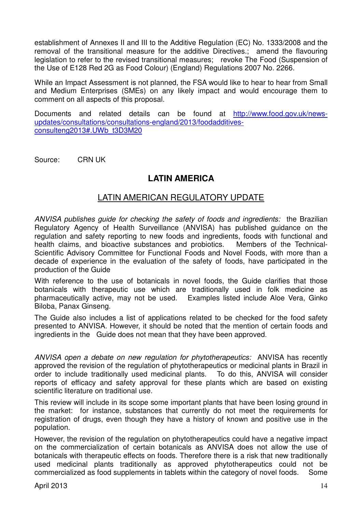establishment of Annexes II and III to the Additive Regulation (EC) No. 1333/2008 and the removal of the transitional measure for the additive Directives.; amend the flavouring legislation to refer to the revised transitional measures; revoke The Food (Suspension of the Use of E128 Red 2G as Food Colour) (England) Regulations 2007 No. 2266.

While an Impact Assessment is not planned, the FSA would like to hear to hear from Small and Medium Enterprises (SMEs) on any likely impact and would encourage them to comment on all aspects of this proposal.

Documents and related details can be found at http://www.food.gov.uk/newsupdates/consultations/consultations-england/2013/foodadditivesconsulteng2013#.UWb\_t3D3M20

Source: CRN UK

## **LATIN AMERICA**

## LATIN AMERICAN REGULATORY UPDATE

*ANVISA publishes guide for checking the safety of foods and ingredients:* the Brazilian Regulatory Agency of Health Surveillance (ANVISA) has published guidance on the regulation and safety reporting to new foods and ingredients, foods with functional and health claims, and bioactive substances and probiotics. Members of the Technical-Scientific Advisory Committee for Functional Foods and Novel Foods, with more than a decade of experience in the evaluation of the safety of foods, have participated in the production of the Guide

With reference to the use of botanicals in novel foods, the Guide clarifies that those botanicals with therapeutic use which are traditionally used in folk medicine as pharmaceutically active, may not be used. Examples listed include Aloe Vera, Ginko Biloba, Panax Ginseng.

The Guide also includes a list of applications related to be checked for the food safety presented to ANVISA. However, it should be noted that the mention of certain foods and ingredients in the Guide does not mean that they have been approved.

*ANVISA open a debate on new regulation for phytotherapeutics:* ANVISA has recently approved the revision of the regulation of phytotherapeutics or medicinal plants in Brazil in order to include traditionally used medicinal plants. To do this, ANVISA will consider reports of efficacy and safety approval for these plants which are based on existing scientific literature on traditional use.

This review will include in its scope some important plants that have been losing ground in the market: for instance, substances that currently do not meet the requirements for registration of drugs, even though they have a history of known and positive use in the population.

However, the revision of the regulation on phytotherapeutics could have a negative impact on the commercialization of certain botanicals as ANVISA does not allow the use of botanicals with therapeutic effects on foods. Therefore there is a risk that new traditionally used medicinal plants traditionally as approved phytotherapeutics could not be commercialized as food supplements in tablets within the category of novel foods. Some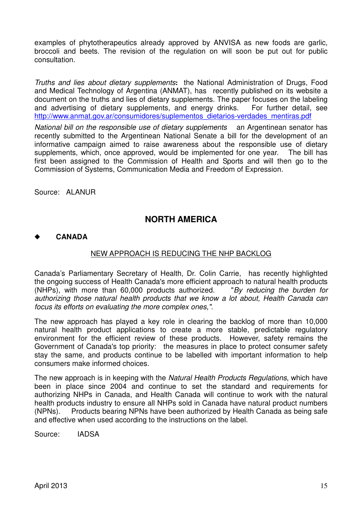examples of phytotherapeutics already approved by ANVISA as new foods are garlic, broccoli and beets. The revision of the regulation on will soon be put out for public consultation.

*Truths and lies about dietary supplements***:** the National Administration of Drugs, Food and Medical Technology of Argentina (ANMAT), has recently published on its website a document on the truths and lies of dietary supplements. The paper focuses on the labeling and advertising of dietary supplements, and energy drinks. For further detail, see http://www.anmat.gov.ar/consumidores/suplementos\_dietarios-verdades\_mentiras.pdf

*National bill on the responsible use of dietary supplements* an Argentinean senator has recently submitted to the Argentinean National Senate a bill for the development of an informative campaign aimed to raise awareness about the responsible use of dietary supplements, which, once approved, would be implemented for one year. The bill has first been assigned to the Commission of Health and Sports and will then go to the Commission of Systems, Communication Media and Freedom of Expression.

Source: ALANUR

## **NORTH AMERICA**

#### ◆ **CANADA**

#### NEW APPROACH IS REDUCING THE NHP BACKLOG

Canada's Parliamentary Secretary of Health, Dr. Colin Carrie, has recently highlighted the ongoing success of Health Canada's more efficient approach to natural health products (NHPs), with more than 60,000 products authorized. "*By reducing the burden for authorizing those natural health products that we know a lot about, Health Canada can focus its efforts on evaluating the more complex ones,"*.

The new approach has played a key role in clearing the backlog of more than 10,000 natural health product applications to create a more stable, predictable regulatory environment for the efficient review of these products. However, safety remains the Government of Canada's top priority: the measures in place to protect consumer safety stay the same, and products continue to be labelled with important information to help consumers make informed choices.

The new approach is in keeping with the *Natural Health Products Regulations*, which have been in place since 2004 and continue to set the standard and requirements for authorizing NHPs in Canada, and Health Canada will continue to work with the natural health products industry to ensure all NHPs sold in Canada have natural product numbers (NPNs). Products bearing NPNs have been authorized by Health Canada as being safe and effective when used according to the instructions on the label.

Source: IADSA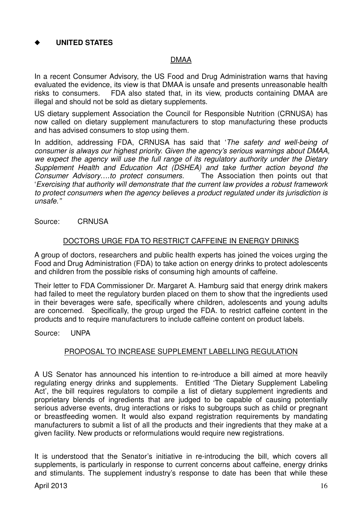### ◆ **UNITED STATES**

#### DMAA

In a recent Consumer Advisory, the US Food and Drug Administration warns that having evaluated the evidence, its view is that DMAA is unsafe and presents unreasonable health risks to consumers. FDA also stated that, in its view, products containing DMAA are illegal and should not be sold as dietary supplements.

US dietary supplement Association the Council for Responsible Nutrition (CRNUSA) has now called on dietary supplement manufacturers to stop manufacturing these products and has advised consumers to stop using them.

In addition, addressing FDA, CRNUSA has said that '*The safety and well-being of consumer is always our highest priority. Given the agency's serious warnings about DMAA, we expect the agency will use the full range of its regulatory authority under the Dietary Supplement Health and Education Act (DSHEA) and take further action beyond the Consumer Advisory*….*to protect consumers.* The Association then points out that '*Exercising that authority will demonstrate that the current law provides a robust framework to protect consumers when the agency believes a product regulated under its jurisdiction is unsafe.''* 

Source: CRNUSA

#### DOCTORS URGE FDA TO RESTRICT CAFFEINE IN ENERGY DRINKS

A group of doctors, researchers and public health experts has joined the voices urging the Food and Drug Administration (FDA) to take action on energy drinks to protect adolescents and children from the possible risks of consuming high amounts of caffeine.

Their letter to FDA Commissioner Dr. Margaret A. Hamburg said that energy drink makers had failed to meet the regulatory burden placed on them to show that the ingredients used in their beverages were safe, specifically where children, adolescents and young adults are concerned. Specifically, the group urged the FDA. to restrict caffeine content in the products and to require manufacturers to include caffeine content on product labels.

Source: UNPA

#### PROPOSAL TO INCREASE SUPPLEMENT LABELLING REGULATION

A US Senator has announced his intention to re-introduce a bill aimed at more heavily regulating energy drinks and supplements. Entitled 'The Dietary Supplement Labeling Act', the bill requires requiators to compile a list of dietary supplement ingredients and proprietary blends of ingredients that are judged to be capable of causing potentially serious adverse events, drug interactions or risks to subgroups such as child or pregnant or breastfeeding women. It would also expand registration requirements by mandating manufacturers to submit a list of all the products and their ingredients that they make at a given facility. New products or reformulations would require new registrations.

It is understood that the Senator's initiative in re-introducing the bill, which covers all supplements, is particularly in response to current concerns about caffeine, energy drinks and stimulants. The supplement industry's response to date has been that while these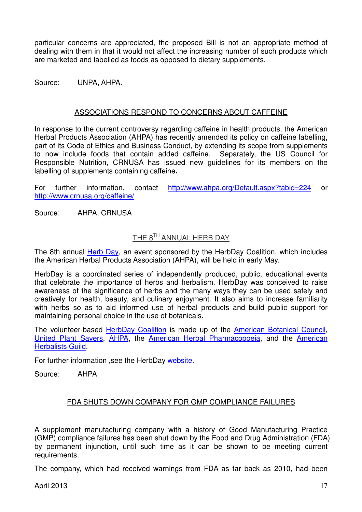particular concerns are appreciated, the proposed Bill is not an appropriate method of dealing with them in that it would not affect the increasing number of such products which are marketed and labelled as foods as opposed to dietary supplements.

Source: UNPA, AHPA.

#### ASSOCIATIONS RESPOND TO CONCERNS ABOUT CAFFEINE

In response to the current controversy regarding caffeine in health products, the American Herbal Products Association (AHPA) has recently amended its policy on caffeine labelling, part of its Code of Ethics and Business Conduct, by extending its scope from supplements to now include foods that contain added caffeine. Separately, the US Council for Responsible Nutrition, CRNUSA has issued new guidelines for its members on the labelling of supplements containing caffeine**.** 

For further information, contact http://www.ahpa.org/Default.aspx?tabid=224 or http://www.crnusa.org/caffeine/

Source: AHPA, CRNUSA

## THE 8TH ANNUAL HERB DAY

The 8th annual Herb Day, an event sponsored by the HerbDay Coalition, which includes the American Herbal Products Association (AHPA), will be held in early May.

HerbDay is a coordinated series of independently produced, public, educational events that celebrate the importance of herbs and herbalism. HerbDay was conceived to raise awareness of the significance of herbs and the many ways they can be used safely and creatively for health, beauty, and culinary enjoyment. It also aims to increase familiarity with herbs so as to aid informed use of herbal products and build public support for maintaining personal choice in the use of botanicals.

The volunteer-based HerbDay Coalition is made up of the American Botanical Council, United Plant Savers, AHPA, the American Herbal Pharmacopoeia, and the American Herbalists Guild.

For further information ,see the HerbDay website.

Source: AHPA

#### FDA SHUTS DOWN COMPANY FOR GMP COMPLIANCE FAILURES

A supplement manufacturing company with a history of Good Manufacturing Practice (GMP) compliance failures has been shut down by the Food and Drug Administration (FDA) by permanent injunction, until such time as it can be shown to be meeting current requirements.

The company, which had received warnings from FDA as far back as 2010, had been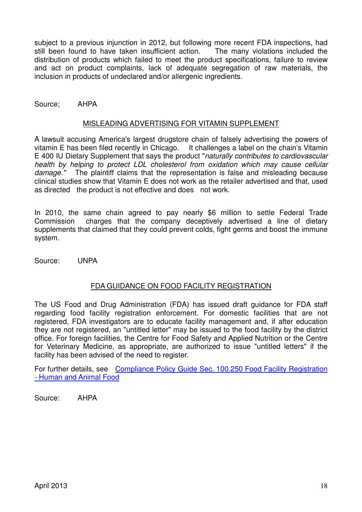subject to a previous injunction in 2012, but following more recent FDA inspections, had still been found to have taken insufficient action. The many violations included the distribution of products which failed to meet the product specifications, failure to review and act on product complaints, lack of adequate segregation of raw materials, the inclusion in products of undeclared and/or allergenic ingredients.

Source; AHPA

#### MISLEADING ADVERTISING FOR VITAMIN SUPPLEMENT

A lawsuit accusing America's largest drugstore chain of falsely advertising the powers of vitamin E has been filed recently in Chicago. It challenges a label on the chain's Vitamin E 400 IU Dietary Supplement that says the product "*naturally contributes to cardiovascular health by helping to protect LDL cholesterol from oxidation which may cause cellular damage."* The plaintiff claims that the representation is false and misleading because clinical studies show that Vitamin E does not work as the retailer advertised and that, used as directed the product is not effective and does not work.

In 2010, the same chain agreed to pay nearly \$6 million to settle Federal Trade Commission charges that the company deceptively advertised a line of dietary supplements that claimed that they could prevent colds, fight germs and boost the immune system.

Source: UNPA

#### FDA GUIDANCE ON FOOD FACILITY REGISTRATION

The US Food and Drug Administration (FDA) has issued draft guidance for FDA staff regarding food facility registration enforcement. For domestic facilities that are not registered, FDA investigators are to educate facility management and, if after education they are not registered, an "untitled letter" may be issued to the food facility by the district office. For foreign facilities, the Centre for Food Safety and Applied Nutrition or the Centre for Veterinary Medicine, as appropriate, are authorized to issue "untitled letters" if the facility has been advised of the need to register.

For further details, see Compliance Policy Guide Sec. 100.250 Food Facility Registration - Human and Animal Food

Source: AHPA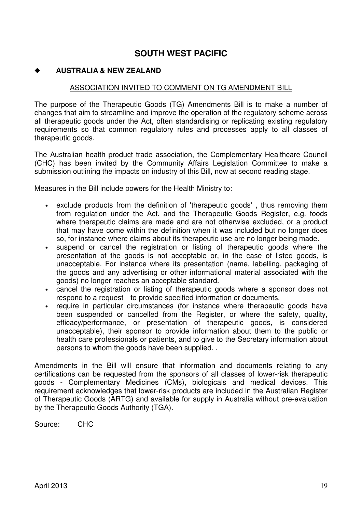## **SOUTH WEST PACIFIC**

#### ◆ **AUSTRALIA & NEW ZEALAND**

#### ASSOCIATION INVITED TO COMMENT ON TG AMENDMENT BILL

The purpose of the Therapeutic Goods (TG) Amendments Bill is to make a number of changes that aim to streamline and improve the operation of the regulatory scheme across all therapeutic goods under the Act, often standardising or replicating existing regulatory requirements so that common regulatory rules and processes apply to all classes of therapeutic goods.

The Australian health product trade association, the Complementary Healthcare Council (CHC) has been invited by the Community Affairs Legislation Committee to make a submission outlining the impacts on industry of this Bill, now at second reading stage.

Measures in the Bill include powers for the Health Ministry to:

- exclude products from the definition of 'therapeutic goods' , thus removing them from regulation under the Act. and the Therapeutic Goods Register, e.g. foods where therapeutic claims are made and are not otherwise excluded, or a product that may have come within the definition when it was included but no longer does so, for instance where claims about its therapeutic use are no longer being made.
- suspend or cancel the registration or listing of therapeutic goods where the presentation of the goods is not acceptable or, in the case of listed goods, is unacceptable. For instance where its presentation (name, labelling, packaging of the goods and any advertising or other informational material associated with the goods) no longer reaches an acceptable standard.
- cancel the registration or listing of therapeutic goods where a sponsor does not respond to a request to provide specified information or documents.
- require in particular circumstances (for instance where therapeutic goods have been suspended or cancelled from the Register, or where the safety, quality, efficacy/performance, or presentation of therapeutic goods, is considered unacceptable), their sponsor to provide information about them to the public or health care professionals or patients, and to give to the Secretary information about persons to whom the goods have been supplied. .

Amendments in the Bill will ensure that information and documents relating to any certifications can be requested from the sponsors of all classes of lower-risk therapeutic goods - Complementary Medicines (CMs), biologicals and medical devices. This requirement acknowledges that lower-risk products are included in the Australian Register of Therapeutic Goods (ARTG) and available for supply in Australia without pre-evaluation by the Therapeutic Goods Authority (TGA).

Source: CHC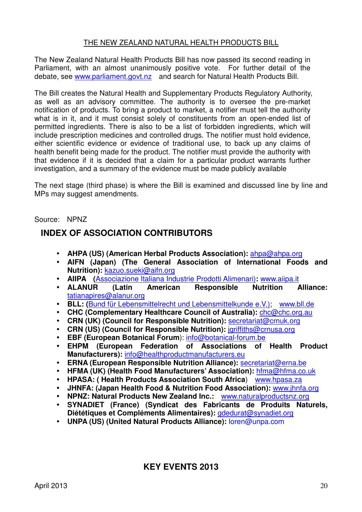#### THE NEW ZEALAND NATURAL HEALTH PRODUCTS BILL

The New Zealand Natural Health Products Bill has now passed its second reading in Parliament, with an almost unanimously positive vote. For further detail of the debate, see www.parliament.govt.nz and search for Natural Health Products Bill.

The Bill creates the Natural Health and Supplementary Products Regulatory Authority, as well as an advisory committee. The authority is to oversee the pre-market notification of products. To bring a product to market, a notifier must tell the authority what is in it, and it must consist solely of constituents from an open-ended list of permitted ingredients. There is also to be a list of forbidden ingredients, which will include prescription medicines and controlled drugs. The notifier must hold evidence, either scientific evidence or evidence of traditional use, to back up any claims of health benefit being made for the product. The notifier must provide the authority with that evidence if it is decided that a claim for a particular product warrants further investigation, and a summary of the evidence must be made publicly available

The next stage (third phase) is where the Bill is examined and discussed line by line and MPs may suggest amendments.

#### Source: NPNZ

## **INDEX OF ASSOCIATION CONTRIBUTORS**

- **AHPA (US) (American Herbal Products Association):** ahpa@ahpa.org
- **AIFN (Japan) (The General Association of International Foods and Nutrition):** kazuo.sueki@aifn.org
- **AIIPA (**Associazione Italiana Industrie Prodotti Alimenari)**:** www.aiipa.it
- **ALANUR (Latin American Responsible Nutrition Alliance:**  tatianapires@alanur.org
- **BLL: (**Bund für Lebensmittelrecht und Lebensmittelkunde e.V.); www.bll.de
- **CHC (Complementary Healthcare Council of Australia):** chc@chc.org.au
- **CRN (UK) (Council for Responsible Nutrition):** secretariat@crnuk.org
- **CRN (US) (Council for Responsible Nutrition):** *jgriffiths@crnusa.org*
- **EBF (European Botanical Forum**): info@botanical-forum.be
- **EHPM (European Federation of Associations of Health Product Manufacturers):** info@healthproductmanufacturers.eu
- **ERNA (European Responsible Nutrition Alliance):** secretariat@erna.be
- **HFMA (UK) (Health Food Manufacturers' Association):** hfma@hfma.co.uk
- **HPASA: ( Health Products Association South Africa**) www.hpasa.za
- **JHNFA: (Japan Health Food & Nutrition Food Association):** www.jhnfa.org
- **NPNZ: Natural Products New Zealand Inc.:** www.naturalproductsnz.org
- **SYNADIET (France) (Syndicat des Fabricants de Produits Naturels, Diététiques et Compléments Alimentaires):** gdedurat@synadiet.org
- **UNPA (US) (United Natural Products Alliance):** loren@unpa.com

## **KEY EVENTS 2013**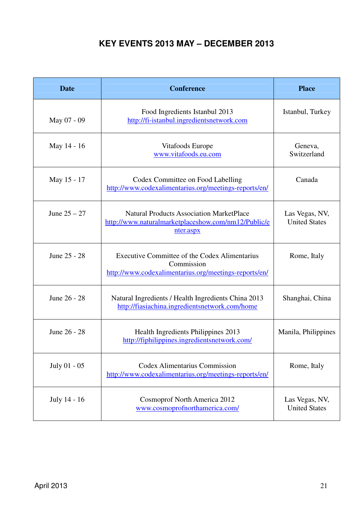# **KEY EVENTS 2013 MAY – DECEMBER 2013**

| <b>Date</b>    | <b>Conference</b>                                                                                                    | <b>Place</b>                           |
|----------------|----------------------------------------------------------------------------------------------------------------------|----------------------------------------|
| May 07 - 09    | Food Ingredients Istanbul 2013<br>http://fi-istanbul.ingredientsnetwork.com                                          | Istanbul, Turkey                       |
| May 14 - 16    | Vitafoods Europe<br>www.vitafoods.eu.com                                                                             | Geneva,<br>Switzerland                 |
| May 15 - 17    | Codex Committee on Food Labelling<br>http://www.codexalimentarius.org/meetings-reports/en/                           | Canada                                 |
| June $25 - 27$ | <b>Natural Products Association MarketPlace</b><br>http://www.naturalmarketplaceshow.com/nm12/Public/e<br>nter.aspx  | Las Vegas, NV,<br><b>United States</b> |
| June 25 - 28   | Executive Committee of the Codex Alimentarius<br>Commission<br>http://www.codexalimentarius.org/meetings-reports/en/ | Rome, Italy                            |
| June 26 - 28   | Natural Ingredients / Health Ingredients China 2013<br>http://fiasiachina.ingredientsnetwork.com/home                | Shanghai, China                        |
| June 26 - 28   | Health Ingredients Philippines 2013<br>http://fiphilippines.ingredientsnetwork.com/                                  | Manila, Philippines                    |
| July 01 - 05   | <b>Codex Alimentarius Commission</b><br>http://www.codexalimentarius.org/meetings-reports/en/                        | Rome, Italy                            |
| July 14 - 16   | <b>Cosmoprof North America 2012</b><br>www.cosmoprofnorthamerica.com/                                                | Las Vegas, NV,<br><b>United States</b> |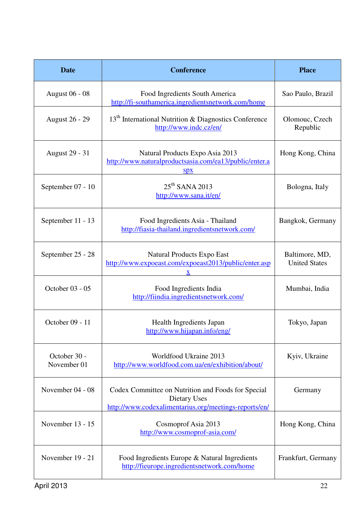| <b>Date</b>                 | <b>Conference</b>                                                                                                           | <b>Place</b>                           |
|-----------------------------|-----------------------------------------------------------------------------------------------------------------------------|----------------------------------------|
| <b>August 06 - 08</b>       | Food Ingredients South America<br>http://fi-southamerica.ingredientsnetwork.com/home                                        | Sao Paulo, Brazil                      |
| <b>August 26 - 29</b>       | 13 <sup>th</sup> International Nutrition & Diagnostics Conference<br>http://www.indc.cz/en/                                 | Olomouc, Czech<br>Republic             |
| <b>August 29 - 31</b>       | Natural Products Expo Asia 2013<br>http://www.naturalproductsasia.com/ea13/public/enter.a<br>$S\mathbf{p}$                  | Hong Kong, China                       |
| September 07 - 10           | 25 <sup>th</sup> SANA 2013<br>http://www.sana.it/en/                                                                        | Bologna, Italy                         |
| September 11 - 13           | Food Ingredients Asia - Thailand<br>http://fiasia-thailand.ingredientsnetwork.com/                                          | Bangkok, Germany                       |
| September 25 - 28           | Natural Products Expo East<br>http://www.expoeast.com/expoeast2013/public/enter.asp<br>X                                    | Baltimore, MD,<br><b>United States</b> |
| October 03 - 05             | Food Ingredients India<br>http://fiindia.ingredientsnetwork.com/                                                            | Mumbai, India                          |
| October 09 - 11             | Health Ingredients Japan<br>http://www.hijapan.info/eng/                                                                    | Tokyo, Japan                           |
| October 30 -<br>November 01 | Worldfood Ukraine 2013<br>http://www.worldfood.com.ua/en/exhibition/about/                                                  | Kyiv, Ukraine                          |
| November 04 - 08            | Codex Committee on Nutrition and Foods for Special<br>Dietary Uses<br>http://www.codexalimentarius.org/meetings-reports/en/ | Germany                                |
| November 13 - 15            | Cosmoprof Asia 2013<br>http://www.cosmoprof-asia.com/                                                                       | Hong Kong, China                       |
| November 19 - 21            | Food Ingredients Europe & Natural Ingredients<br>http://fieurope.ingredientsnetwork.com/home                                | Frankfurt, Germany                     |